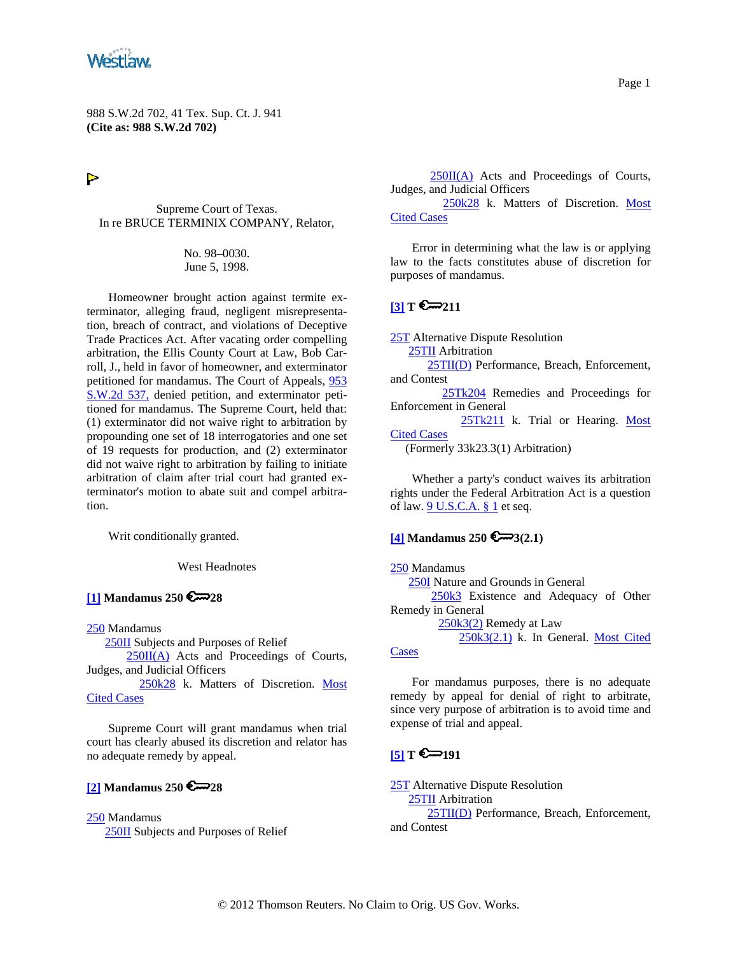<span id="page-0-0"></span>

988 S.W.2d 702, 41 Tex. Sup. Ct. J. 941 **(Cite as: 988 S.W.2d 702)**

 $\triangleright$ 

Supreme Court of Texas. In re BRUCE TERMINIX COMPANY, Relator,

> No. 98–0030. June 5, 1998.

Homeowner brought action against termite exterminator, alleging fraud, negligent misrepresentation, breach of contract, and violations of Deceptive Trade Practices Act. After vacating order compelling arbitration, the Ellis County Court at Law, Bob Carroll, J., held in favor of homeowner, and exterminator petitioned for mandamus. The Court of Appeals, [953](http://www.westlaw.com/Find/Default.wl?rs=dfa1.0&vr=2.0&DB=713&FindType=Y&SerialNum=1997208030)  [S.W.2d 537,](http://www.westlaw.com/Find/Default.wl?rs=dfa1.0&vr=2.0&DB=713&FindType=Y&SerialNum=1997208030) denied petition, and exterminator petitioned for mandamus. The Supreme Court, held that: (1) exterminator did not waive right to arbitration by propounding one set of 18 interrogatories and one set of 19 requests for production, and (2) exterminator did not waive right to arbitration by failing to initiate arbitration of claim after trial court had granted exterminator's motion to abate suit and compel arbitration.

Writ conditionally granted.

West Headnotes

**[\[1\]](#page-3-0) Mandamus 250 28**

[250](http://www.westlaw.com/KeyNumber/Default.wl?rs=dfa1.0&vr=2.0&CMD=KEY&DocName=250) Mandamus

[250II](http://www.westlaw.com/KeyNumber/Default.wl?rs=dfa1.0&vr=2.0&CMD=KEY&DocName=250II) Subjects and Purposes of Relief

[250II\(A\)](http://www.westlaw.com/KeyNumber/Default.wl?rs=dfa1.0&vr=2.0&CMD=KEY&DocName=250II%28A%29) Acts and Proceedings of Courts, Judges, and Judicial Officers

 [250k28](http://www.westlaw.com/KeyNumber/Default.wl?rs=dfa1.0&vr=2.0&CMD=KEY&DocName=250k28) k. Matters of Discretion. [Most](http://www.westlaw.com/Digest/Default.wl?rs=dfa1.0&vr=2.0&CMD=MCC&DocName=250k28)  [Cited Cases](http://www.westlaw.com/Digest/Default.wl?rs=dfa1.0&vr=2.0&CMD=MCC&DocName=250k28)

Supreme Court will grant mandamus when trial court has clearly abused its discretion and relator has no adequate remedy by appeal.

### **[\[2\]](#page-3-0) Mandamus 250 28**

[250](http://www.westlaw.com/KeyNumber/Default.wl?rs=dfa1.0&vr=2.0&CMD=KEY&DocName=250) Mandamus [250II](http://www.westlaw.com/KeyNumber/Default.wl?rs=dfa1.0&vr=2.0&CMD=KEY&DocName=250II) Subjects and Purposes of Relief

 $250II(A)$  Acts and Proceedings of Courts, Judges, and Judicial Officers

 [250k28](http://www.westlaw.com/KeyNumber/Default.wl?rs=dfa1.0&vr=2.0&CMD=KEY&DocName=250k28) k. Matters of Discretion. [Most](http://www.westlaw.com/Digest/Default.wl?rs=dfa1.0&vr=2.0&CMD=MCC&DocName=250k28)  [Cited Cases](http://www.westlaw.com/Digest/Default.wl?rs=dfa1.0&vr=2.0&CMD=MCC&DocName=250k28)

Error in determining what the law is or applying law to the facts constitutes abuse of discretion for purposes of mandamus.

### $[3] T 211$  $[3] T 211$

**[25T](http://www.westlaw.com/KeyNumber/Default.wl?rs=dfa1.0&vr=2.0&CMD=KEY&DocName=25T)** Alternative Dispute Resolution

[25TII](http://www.westlaw.com/KeyNumber/Default.wl?rs=dfa1.0&vr=2.0&CMD=KEY&DocName=25TII) Arbitration

[25TII\(D\)](http://www.westlaw.com/KeyNumber/Default.wl?rs=dfa1.0&vr=2.0&CMD=KEY&DocName=25TII%28D%29) Performance, Breach, Enforcement, and Contest

 [25Tk204](http://www.westlaw.com/KeyNumber/Default.wl?rs=dfa1.0&vr=2.0&CMD=KEY&DocName=25Tk204) Remedies and Proceedings for Enforcement in General

 [25Tk211](http://www.westlaw.com/KeyNumber/Default.wl?rs=dfa1.0&vr=2.0&CMD=KEY&DocName=25Tk211) k. Trial or Hearing. [Most](http://www.westlaw.com/Digest/Default.wl?rs=dfa1.0&vr=2.0&CMD=MCC&DocName=25Tk211)  [Cited Cases](http://www.westlaw.com/Digest/Default.wl?rs=dfa1.0&vr=2.0&CMD=MCC&DocName=25Tk211)

(Formerly 33k23.3(1) Arbitration)

Whether a party's conduct waives its arbitration rights under the Federal Arbitration Act is a question of law.  $9$  U.S.C.A.  $§$  1 et seq.

### **[\[4\]](#page-3-0) Mandamus 250 3(2.1)**

[250](http://www.westlaw.com/KeyNumber/Default.wl?rs=dfa1.0&vr=2.0&CMD=KEY&DocName=250) Mandamus

 [250I](http://www.westlaw.com/KeyNumber/Default.wl?rs=dfa1.0&vr=2.0&CMD=KEY&DocName=250I) Nature and Grounds in General [250k3](http://www.westlaw.com/KeyNumber/Default.wl?rs=dfa1.0&vr=2.0&CMD=KEY&DocName=250k3) Existence and Adequacy of Other Remedy in General

> [250k3\(2\)](http://www.westlaw.com/KeyNumber/Default.wl?rs=dfa1.0&vr=2.0&CMD=KEY&DocName=250k3%282%29) Remedy at Law [250k3\(2.1\)](http://www.westlaw.com/KeyNumber/Default.wl?rs=dfa1.0&vr=2.0&CMD=KEY&DocName=250k3%282.1%29) k. In General. Most Cited

#### **[Cases](http://www.westlaw.com/Digest/Default.wl?rs=dfa1.0&vr=2.0&CMD=MCC&DocName=250k3%282.1%29)**

For mandamus purposes, there is no adequate remedy by appeal for denial of right to arbitrate, since very purpose of arbitration is to avoid time and expense of trial and appeal.

# $\Gamma$   $\sum$  191

[25T](http://www.westlaw.com/KeyNumber/Default.wl?rs=dfa1.0&vr=2.0&CMD=KEY&DocName=25T) Alternative Dispute Resolution [25TII](http://www.westlaw.com/KeyNumber/Default.wl?rs=dfa1.0&vr=2.0&CMD=KEY&DocName=25TII) Arbitration [25TII\(D\)](http://www.westlaw.com/KeyNumber/Default.wl?rs=dfa1.0&vr=2.0&CMD=KEY&DocName=25TII%28D%29) Performance, Breach, Enforcement, and Contest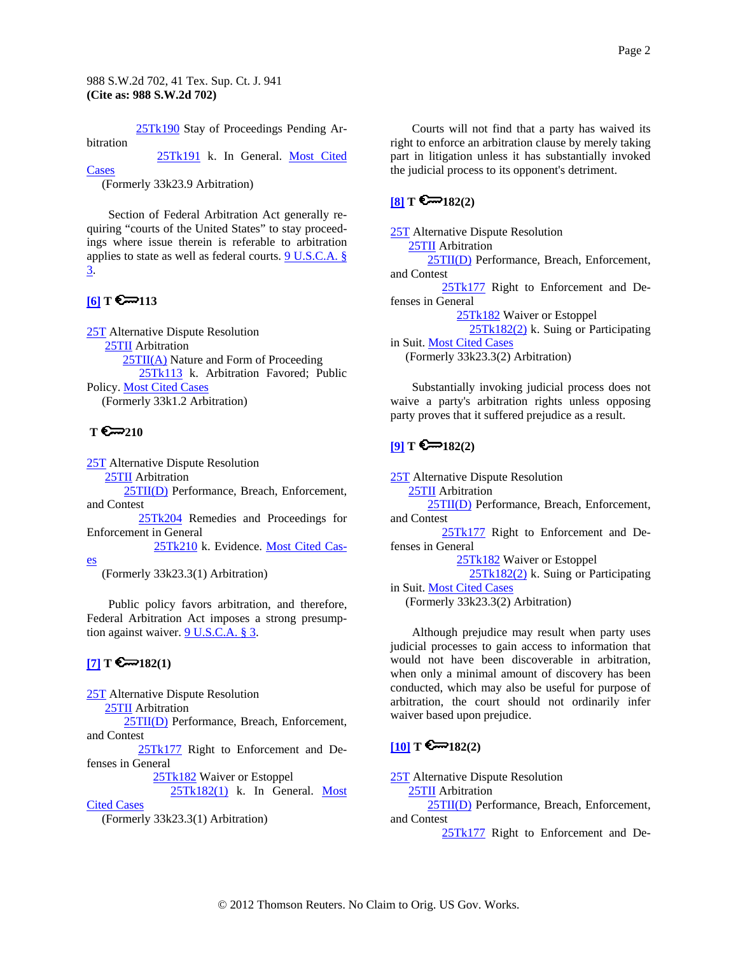[25Tk190](http://www.westlaw.com/KeyNumber/Default.wl?rs=dfa1.0&vr=2.0&CMD=KEY&DocName=25Tk190) Stay of Proceedings Pending Ar-

<span id="page-1-0"></span>bitration

[25Tk191](http://www.westlaw.com/KeyNumber/Default.wl?rs=dfa1.0&vr=2.0&CMD=KEY&DocName=25Tk191) k. In General. [Most Cited](http://www.westlaw.com/Digest/Default.wl?rs=dfa1.0&vr=2.0&CMD=MCC&DocName=25Tk191) 

[Cases](http://www.westlaw.com/Digest/Default.wl?rs=dfa1.0&vr=2.0&CMD=MCC&DocName=25Tk191)

(Formerly 33k23.9 Arbitration)

Section of Federal Arbitration Act generally requiring "courts of the United States" to stay proceedings where issue therein is referable to arbitration applies to state as well as federal courts. [9 U.S.C.A. §](http://www.westlaw.com/Find/Default.wl?rs=dfa1.0&vr=2.0&DB=1000546&DocName=9USCAS3&FindType=L)  [3.](http://www.westlaw.com/Find/Default.wl?rs=dfa1.0&vr=2.0&DB=1000546&DocName=9USCAS3&FindType=L)

# $[6]$  **T**  $\sum$  113

[25T](http://www.westlaw.com/KeyNumber/Default.wl?rs=dfa1.0&vr=2.0&CMD=KEY&DocName=25T) Alternative Dispute Resolution [25TII](http://www.westlaw.com/KeyNumber/Default.wl?rs=dfa1.0&vr=2.0&CMD=KEY&DocName=25TII) Arbitration [25TII\(A\)](http://www.westlaw.com/KeyNumber/Default.wl?rs=dfa1.0&vr=2.0&CMD=KEY&DocName=25TII%28A%29) Nature and Form of Proceeding [25Tk113](http://www.westlaw.com/KeyNumber/Default.wl?rs=dfa1.0&vr=2.0&CMD=KEY&DocName=25Tk113) k. Arbitration Favored; Public Policy. [Most Cited Cases](http://www.westlaw.com/Digest/Default.wl?rs=dfa1.0&vr=2.0&CMD=MCC&DocName=25Tk113) (Formerly 33k1.2 Arbitration)

# T  $\epsilon$ <sub>∞210</sub>

[es](http://www.westlaw.com/Digest/Default.wl?rs=dfa1.0&vr=2.0&CMD=MCC&DocName=25Tk210)

[25T](http://www.westlaw.com/KeyNumber/Default.wl?rs=dfa1.0&vr=2.0&CMD=KEY&DocName=25T) Alternative Dispute Resolution [25TII](http://www.westlaw.com/KeyNumber/Default.wl?rs=dfa1.0&vr=2.0&CMD=KEY&DocName=25TII) Arbitration [25TII\(D\)](http://www.westlaw.com/KeyNumber/Default.wl?rs=dfa1.0&vr=2.0&CMD=KEY&DocName=25TII%28D%29) Performance, Breach, Enforcement, and Contest [25Tk204](http://www.westlaw.com/KeyNumber/Default.wl?rs=dfa1.0&vr=2.0&CMD=KEY&DocName=25Tk204) Remedies and Proceedings for Enforcement in General

[25Tk210](http://www.westlaw.com/KeyNumber/Default.wl?rs=dfa1.0&vr=2.0&CMD=KEY&DocName=25Tk210) k. Evidence. [Most Cited Cas-](http://www.westlaw.com/Digest/Default.wl?rs=dfa1.0&vr=2.0&CMD=MCC&DocName=25Tk210)

(Formerly 33k23.3(1) Arbitration)

Public policy favors arbitration, and therefore, Federal Arbitration Act imposes a strong presumption against waiver. [9 U.S.C.A. § 3](http://www.westlaw.com/Find/Default.wl?rs=dfa1.0&vr=2.0&DB=1000546&DocName=9USCAS3&FindType=L).

# $[7]$  **T**  $\bigotimes$  182(1)

[25T](http://www.westlaw.com/KeyNumber/Default.wl?rs=dfa1.0&vr=2.0&CMD=KEY&DocName=25T) Alternative Dispute Resolution [25TII](http://www.westlaw.com/KeyNumber/Default.wl?rs=dfa1.0&vr=2.0&CMD=KEY&DocName=25TII) Arbitration [25TII\(D\)](http://www.westlaw.com/KeyNumber/Default.wl?rs=dfa1.0&vr=2.0&CMD=KEY&DocName=25TII%28D%29) Performance, Breach, Enforcement, and Contest [25Tk177](http://www.westlaw.com/KeyNumber/Default.wl?rs=dfa1.0&vr=2.0&CMD=KEY&DocName=25Tk177) Right to Enforcement and Defenses in General [25Tk182](http://www.westlaw.com/KeyNumber/Default.wl?rs=dfa1.0&vr=2.0&CMD=KEY&DocName=25Tk182) Waiver or Estoppel [25Tk182\(1\)](http://www.westlaw.com/KeyNumber/Default.wl?rs=dfa1.0&vr=2.0&CMD=KEY&DocName=25Tk182%281%29) k. In General. [Most](http://www.westlaw.com/Digest/Default.wl?rs=dfa1.0&vr=2.0&CMD=MCC&DocName=25Tk182%281%29) 

[Cited Cases](http://www.westlaw.com/Digest/Default.wl?rs=dfa1.0&vr=2.0&CMD=MCC&DocName=25Tk182%281%29)

(Formerly 33k23.3(1) Arbitration)

Courts will not find that a party has waived its right to enforce an arbitration clause by merely taking part in litigation unless it has substantially invoked the judicial process to its opponent's detriment.

### $[8]$  **T**  $\bigotimes$  182(2)

[25T](http://www.westlaw.com/KeyNumber/Default.wl?rs=dfa1.0&vr=2.0&CMD=KEY&DocName=25T) Alternative Dispute Resolution [25TII](http://www.westlaw.com/KeyNumber/Default.wl?rs=dfa1.0&vr=2.0&CMD=KEY&DocName=25TII) Arbitration

 [25TII\(D\)](http://www.westlaw.com/KeyNumber/Default.wl?rs=dfa1.0&vr=2.0&CMD=KEY&DocName=25TII%28D%29) Performance, Breach, Enforcement, and Contest

[25Tk177](http://www.westlaw.com/KeyNumber/Default.wl?rs=dfa1.0&vr=2.0&CMD=KEY&DocName=25Tk177) Right to Enforcement and Defenses in General

[25Tk182](http://www.westlaw.com/KeyNumber/Default.wl?rs=dfa1.0&vr=2.0&CMD=KEY&DocName=25Tk182) Waiver or Estoppel

 [25Tk182\(2\)](http://www.westlaw.com/KeyNumber/Default.wl?rs=dfa1.0&vr=2.0&CMD=KEY&DocName=25Tk182%282%29) k. Suing or Participating in Suit. [Most Cited Cases](http://www.westlaw.com/Digest/Default.wl?rs=dfa1.0&vr=2.0&CMD=MCC&DocName=25Tk182%282%29)

(Formerly 33k23.3(2) Arbitration)

Substantially invoking judicial process does not waive a party's arbitration rights unless opposing party proves that it suffered prejudice as a result.

# $[9]$  **T**  $\bigodot$  182(2)

[25T](http://www.westlaw.com/KeyNumber/Default.wl?rs=dfa1.0&vr=2.0&CMD=KEY&DocName=25T) Alternative Dispute Resolution **25TII** Arbitration [25TII\(D\)](http://www.westlaw.com/KeyNumber/Default.wl?rs=dfa1.0&vr=2.0&CMD=KEY&DocName=25TII%28D%29) Performance, Breach, Enforcement, and Contest [25Tk177](http://www.westlaw.com/KeyNumber/Default.wl?rs=dfa1.0&vr=2.0&CMD=KEY&DocName=25Tk177) Right to Enforcement and Defenses in General [25Tk182](http://www.westlaw.com/KeyNumber/Default.wl?rs=dfa1.0&vr=2.0&CMD=KEY&DocName=25Tk182) Waiver or Estoppel [25Tk182\(2\)](http://www.westlaw.com/KeyNumber/Default.wl?rs=dfa1.0&vr=2.0&CMD=KEY&DocName=25Tk182%282%29) k. Suing or Participating in Suit. [Most Cited Cases](http://www.westlaw.com/Digest/Default.wl?rs=dfa1.0&vr=2.0&CMD=MCC&DocName=25Tk182%282%29) (Formerly 33k23.3(2) Arbitration)

Although prejudice may result when party uses judicial processes to gain access to information that would not have been discoverable in arbitration, when only a minimal amount of discovery has been conducted, which may also be useful for purpose of arbitration, the court should not ordinarily infer waiver based upon prejudice.

# $[10]$  **T**  $\bigotimes$  182(2)

[25T](http://www.westlaw.com/KeyNumber/Default.wl?rs=dfa1.0&vr=2.0&CMD=KEY&DocName=25T) Alternative Dispute Resolution [25TII](http://www.westlaw.com/KeyNumber/Default.wl?rs=dfa1.0&vr=2.0&CMD=KEY&DocName=25TII) Arbitration [25TII\(D\)](http://www.westlaw.com/KeyNumber/Default.wl?rs=dfa1.0&vr=2.0&CMD=KEY&DocName=25TII%28D%29) Performance, Breach, Enforcement, and Contest

[25Tk177](http://www.westlaw.com/KeyNumber/Default.wl?rs=dfa1.0&vr=2.0&CMD=KEY&DocName=25Tk177) Right to Enforcement and De-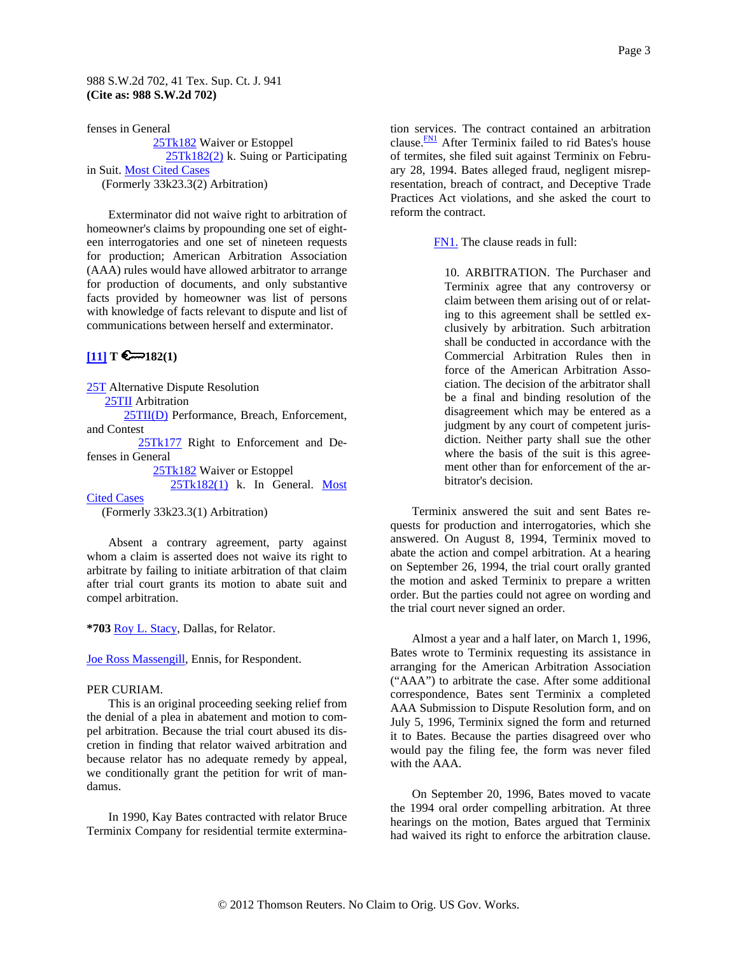#### <span id="page-2-0"></span>988 S.W.2d 702, 41 Tex. Sup. Ct. J. 941 **(Cite as: 988 S.W.2d 702)**

fenses in General [25Tk182](http://www.westlaw.com/KeyNumber/Default.wl?rs=dfa1.0&vr=2.0&CMD=KEY&DocName=25Tk182) Waiver or Estoppel [25Tk182\(2\)](http://www.westlaw.com/KeyNumber/Default.wl?rs=dfa1.0&vr=2.0&CMD=KEY&DocName=25Tk182%282%29) k. Suing or Participating in Suit. [Most Cited Cases](http://www.westlaw.com/Digest/Default.wl?rs=dfa1.0&vr=2.0&CMD=MCC&DocName=25Tk182%282%29) (Formerly 33k23.3(2) Arbitration)

Exterminator did not waive right to arbitration of homeowner's claims by propounding one set of eighteen interrogatories and one set of nineteen requests for production; American Arbitration Association (AAA) rules would have allowed arbitrator to arrange for production of documents, and only substantive facts provided by homeowner was list of persons with knowledge of facts relevant to dispute and list of communications between herself and exterminator.

# $[11]$  **T**  $\bigotimes$  182(1)

[25T](http://www.westlaw.com/KeyNumber/Default.wl?rs=dfa1.0&vr=2.0&CMD=KEY&DocName=25T) Alternative Dispute Resolution [25TII](http://www.westlaw.com/KeyNumber/Default.wl?rs=dfa1.0&vr=2.0&CMD=KEY&DocName=25TII) Arbitration [25TII\(D\)](http://www.westlaw.com/KeyNumber/Default.wl?rs=dfa1.0&vr=2.0&CMD=KEY&DocName=25TII%28D%29) Performance, Breach, Enforcement,

and Contest

[25Tk177](http://www.westlaw.com/KeyNumber/Default.wl?rs=dfa1.0&vr=2.0&CMD=KEY&DocName=25Tk177) Right to Enforcement and Defenses in General

> [25Tk182](http://www.westlaw.com/KeyNumber/Default.wl?rs=dfa1.0&vr=2.0&CMD=KEY&DocName=25Tk182) Waiver or Estoppel  $25Tk182(1)$  k. In General. Most

**[Cited Cases](http://www.westlaw.com/Digest/Default.wl?rs=dfa1.0&vr=2.0&CMD=MCC&DocName=25Tk182%281%29)** 

(Formerly 33k23.3(1) Arbitration)

Absent a contrary agreement, party against whom a claim is asserted does not waive its right to arbitrate by failing to initiate arbitration of that claim after trial court grants its motion to abate suit and compel arbitration.

**\*703** [Roy L. Stacy](http://www.westlaw.com/Find/Default.wl?rs=dfa1.0&vr=2.0&DB=PROFILER-WLD&DocName=0165581901&FindType=h), Dallas, for Relator.

[Joe Ross Massengill,](http://www.westlaw.com/Find/Default.wl?rs=dfa1.0&vr=2.0&DB=PROFILER-WLD&DocName=0244563401&FindType=h) Ennis, for Respondent.

#### PER CURIAM.

This is an original proceeding seeking relief from the denial of a plea in abatement and motion to compel arbitration. Because the trial court abused its discretion in finding that relator waived arbitration and because relator has no adequate remedy by appeal, we conditionally grant the petition for writ of mandamus.

In 1990, Kay Bates contracted with relator Bruce Terminix Company for residential termite extermination services. The contract contained an arbitration clause.<sup>FN1</sup> After Terminix failed to rid Bates's house of termites, she filed suit against Terminix on February 28, 1994. Bates alleged fraud, negligent misrepresentation, breach of contract, and Deceptive Trade Practices Act violations, and she asked the court to reform the contract.

[FN1.](#page-2-0) The clause reads in full:

10. ARBITRATION. The Purchaser and Terminix agree that any controversy or claim between them arising out of or relating to this agreement shall be settled exclusively by arbitration. Such arbitration shall be conducted in accordance with the Commercial Arbitration Rules then in force of the American Arbitration Association. The decision of the arbitrator shall be a final and binding resolution of the disagreement which may be entered as a judgment by any court of competent jurisdiction. Neither party shall sue the other where the basis of the suit is this agreement other than for enforcement of the arbitrator's decision.

Terminix answered the suit and sent Bates requests for production and interrogatories, which she answered. On August 8, 1994, Terminix moved to abate the action and compel arbitration. At a hearing on September 26, 1994, the trial court orally granted the motion and asked Terminix to prepare a written order. But the parties could not agree on wording and the trial court never signed an order.

Almost a year and a half later, on March 1, 1996, Bates wrote to Terminix requesting its assistance in arranging for the American Arbitration Association ("AAA") to arbitrate the case. After some additional correspondence, Bates sent Terminix a completed AAA Submission to Dispute Resolution form, and on July 5, 1996, Terminix signed the form and returned it to Bates. Because the parties disagreed over who would pay the filing fee, the form was never filed with the AAA.

On September 20, 1996, Bates moved to vacate the 1994 oral order compelling arbitration. At three hearings on the motion, Bates argued that Terminix had waived its right to enforce the arbitration clause.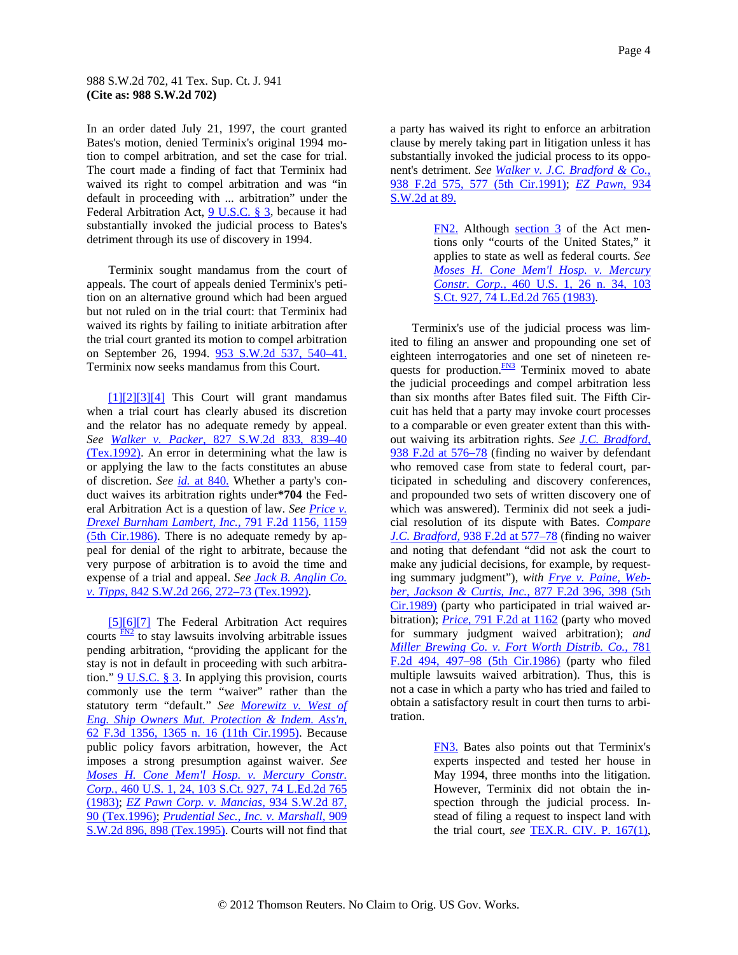#### <span id="page-3-0"></span>988 S.W.2d 702, 41 Tex. Sup. Ct. J. 941 **(Cite as: 988 S.W.2d 702)**

In an order dated July 21, 1997, the court granted Bates's motion, denied Terminix's original 1994 motion to compel arbitration, and set the case for trial. The court made a finding of fact that Terminix had waived its right to compel arbitration and was "in default in proceeding with ... arbitration" under the Federal Arbitration Act, [9 U.S.C. § 3](http://www.westlaw.com/Find/Default.wl?rs=dfa1.0&vr=2.0&DB=1000546&DocName=9USCAS3&FindType=L), because it had substantially invoked the judicial process to Bates's detriment through its use of discovery in 1994.

Terminix sought mandamus from the court of appeals. The court of appeals denied Terminix's petition on an alternative ground which had been argued but not ruled on in the trial court: that Terminix had waived its rights by failing to initiate arbitration after the trial court granted its motion to compel arbitration on September 26, 1994. [953 S.W.2d 537, 540–41.](http://www.westlaw.com/Find/Default.wl?rs=dfa1.0&vr=2.0&DB=713&FindType=Y&ReferencePositionType=S&SerialNum=1997208030&ReferencePosition=540) Terminix now seeks mandamus from this Court.

[\[1\]\[2\]\[3\]\[4\]](#page-0-0) This Court will grant mandamus when a trial court has clearly abused its discretion and the relator has no adequate remedy by appeal. *See [Walker v. Packer,](http://www.westlaw.com/Find/Default.wl?rs=dfa1.0&vr=2.0&DB=713&FindType=Y&ReferencePositionType=S&SerialNum=1992044797&ReferencePosition=839)* [827 S.W.2d 833, 839–40](http://www.westlaw.com/Find/Default.wl?rs=dfa1.0&vr=2.0&DB=713&FindType=Y&ReferencePositionType=S&SerialNum=1992044797&ReferencePosition=839)  [\(Tex.1992\).](http://www.westlaw.com/Find/Default.wl?rs=dfa1.0&vr=2.0&DB=713&FindType=Y&ReferencePositionType=S&SerialNum=1992044797&ReferencePosition=839) An error in determining what the law is or applying the law to the facts constitutes an abuse of discretion. *See [id.](http://www.westlaw.com/Find/Default.wl?rs=dfa1.0&vr=2.0&FindType=Y&SerialNum=1992044797)* [at 840.](http://www.westlaw.com/Find/Default.wl?rs=dfa1.0&vr=2.0&FindType=Y&SerialNum=1992044797) Whether a party's conduct waives its arbitration rights under**\*704** the Federal Arbitration Act is a question of law. *See [Price v.](http://www.westlaw.com/Find/Default.wl?rs=dfa1.0&vr=2.0&DB=350&FindType=Y&ReferencePositionType=S&SerialNum=1986130158&ReferencePosition=1159)  [Drexel Burnham Lambert, Inc.,](http://www.westlaw.com/Find/Default.wl?rs=dfa1.0&vr=2.0&DB=350&FindType=Y&ReferencePositionType=S&SerialNum=1986130158&ReferencePosition=1159)* [791 F.2d 1156, 1159](http://www.westlaw.com/Find/Default.wl?rs=dfa1.0&vr=2.0&DB=350&FindType=Y&ReferencePositionType=S&SerialNum=1986130158&ReferencePosition=1159)  [\(5th Cir.1986\).](http://www.westlaw.com/Find/Default.wl?rs=dfa1.0&vr=2.0&DB=350&FindType=Y&ReferencePositionType=S&SerialNum=1986130158&ReferencePosition=1159) There is no adequate remedy by appeal for denial of the right to arbitrate, because the very purpose of arbitration is to avoid the time and expense of a trial and appeal. *See [Jack B. Anglin Co.](http://www.westlaw.com/Find/Default.wl?rs=dfa1.0&vr=2.0&DB=713&FindType=Y&ReferencePositionType=S&SerialNum=1992198291&ReferencePosition=272)  [v. Tipps,](http://www.westlaw.com/Find/Default.wl?rs=dfa1.0&vr=2.0&DB=713&FindType=Y&ReferencePositionType=S&SerialNum=1992198291&ReferencePosition=272)* [842 S.W.2d 266, 272–73 \(Tex.1992\).](http://www.westlaw.com/Find/Default.wl?rs=dfa1.0&vr=2.0&DB=713&FindType=Y&ReferencePositionType=S&SerialNum=1992198291&ReferencePosition=272)

[\[5\]](#page-0-0)[\[6\]\[7\]](#page-1-0) The Federal Arbitration Act requires courts  $\frac{FN2}{FN2}$  $\frac{FN2}{FN2}$  $\frac{FN2}{FN2}$  to stay lawsuits involving arbitrable issues pending arbitration, "providing the applicant for the stay is not in default in proceeding with such arbitration." [9 U.S.C. § 3](http://www.westlaw.com/Find/Default.wl?rs=dfa1.0&vr=2.0&DB=1000546&DocName=9USCAS3&FindType=L). In applying this provision, courts commonly use the term "waiver" rather than the statutory term "default." *See [Morewitz v. West of](http://www.westlaw.com/Find/Default.wl?rs=dfa1.0&vr=2.0&DB=506&FindType=Y&ReferencePositionType=S&SerialNum=1995171632&ReferencePosition=1365)  [Eng. Ship Owners Mut. Protection & Indem. Ass'n,](http://www.westlaw.com/Find/Default.wl?rs=dfa1.0&vr=2.0&DB=506&FindType=Y&ReferencePositionType=S&SerialNum=1995171632&ReferencePosition=1365)* [62 F.3d 1356, 1365 n. 16 \(11th Cir.1995\)](http://www.westlaw.com/Find/Default.wl?rs=dfa1.0&vr=2.0&DB=506&FindType=Y&ReferencePositionType=S&SerialNum=1995171632&ReferencePosition=1365). Because public policy favors arbitration, however, the Act imposes a strong presumption against waiver. *See [Moses H. Cone Mem'l Hosp. v. Mercury Constr.](http://www.westlaw.com/Find/Default.wl?rs=dfa1.0&vr=2.0&DB=708&FindType=Y&SerialNum=1983109286)  [Corp.,](http://www.westlaw.com/Find/Default.wl?rs=dfa1.0&vr=2.0&DB=708&FindType=Y&SerialNum=1983109286)* [460 U.S. 1, 24, 103 S.Ct. 927, 74 L.Ed.2d 765](http://www.westlaw.com/Find/Default.wl?rs=dfa1.0&vr=2.0&DB=708&FindType=Y&SerialNum=1983109286)  [\(1983\);](http://www.westlaw.com/Find/Default.wl?rs=dfa1.0&vr=2.0&DB=708&FindType=Y&SerialNum=1983109286) *[EZ Pawn Corp. v. Mancias,](http://www.westlaw.com/Find/Default.wl?rs=dfa1.0&vr=2.0&DB=713&FindType=Y&ReferencePositionType=S&SerialNum=1996258319&ReferencePosition=90)* [934 S.W.2d 87,](http://www.westlaw.com/Find/Default.wl?rs=dfa1.0&vr=2.0&DB=713&FindType=Y&ReferencePositionType=S&SerialNum=1996258319&ReferencePosition=90)  [90 \(Tex.1996\);](http://www.westlaw.com/Find/Default.wl?rs=dfa1.0&vr=2.0&DB=713&FindType=Y&ReferencePositionType=S&SerialNum=1996258319&ReferencePosition=90) *[Prudential Sec., Inc. v. Marshall,](http://www.westlaw.com/Find/Default.wl?rs=dfa1.0&vr=2.0&DB=713&FindType=Y&ReferencePositionType=S&SerialNum=1995229426&ReferencePosition=898)* [909](http://www.westlaw.com/Find/Default.wl?rs=dfa1.0&vr=2.0&DB=713&FindType=Y&ReferencePositionType=S&SerialNum=1995229426&ReferencePosition=898)  [S.W.2d 896, 898 \(Tex.1995\).](http://www.westlaw.com/Find/Default.wl?rs=dfa1.0&vr=2.0&DB=713&FindType=Y&ReferencePositionType=S&SerialNum=1995229426&ReferencePosition=898) Courts will not find that a party has waived its right to enforce an arbitration clause by merely taking part in litigation unless it has substantially invoked the judicial process to its opponent's detriment. *See [Walker v. J.C. Bradford & Co.,](http://www.westlaw.com/Find/Default.wl?rs=dfa1.0&vr=2.0&DB=350&FindType=Y&ReferencePositionType=S&SerialNum=1991132235&ReferencePosition=577)* [938 F.2d 575, 577 \(5th Cir.1991\);](http://www.westlaw.com/Find/Default.wl?rs=dfa1.0&vr=2.0&DB=350&FindType=Y&ReferencePositionType=S&SerialNum=1991132235&ReferencePosition=577) *[EZ Pawn,](http://www.westlaw.com/Find/Default.wl?rs=dfa1.0&vr=2.0&DB=713&FindType=Y&ReferencePositionType=S&SerialNum=1996258319&ReferencePosition=89)* [934](http://www.westlaw.com/Find/Default.wl?rs=dfa1.0&vr=2.0&DB=713&FindType=Y&ReferencePositionType=S&SerialNum=1996258319&ReferencePosition=89)  [S.W.2d at 89.](http://www.westlaw.com/Find/Default.wl?rs=dfa1.0&vr=2.0&DB=713&FindType=Y&ReferencePositionType=S&SerialNum=1996258319&ReferencePosition=89)

> [FN2.](#page-3-0) Although [section 3](http://www.westlaw.com/Find/Default.wl?rs=dfa1.0&vr=2.0&DB=1000546&DocName=9USCAS3&FindType=L) of the Act mentions only "courts of the United States," it applies to state as well as federal courts. *See [Moses H. Cone Mem'l Hosp. v. Mercury](http://www.westlaw.com/Find/Default.wl?rs=dfa1.0&vr=2.0&DB=708&FindType=Y&SerialNum=1983109286)  [Constr. Corp.,](http://www.westlaw.com/Find/Default.wl?rs=dfa1.0&vr=2.0&DB=708&FindType=Y&SerialNum=1983109286)* [460 U.S. 1, 26 n. 34, 103](http://www.westlaw.com/Find/Default.wl?rs=dfa1.0&vr=2.0&DB=708&FindType=Y&SerialNum=1983109286)  [S.Ct. 927, 74 L.Ed.2d 765 \(1983\).](http://www.westlaw.com/Find/Default.wl?rs=dfa1.0&vr=2.0&DB=708&FindType=Y&SerialNum=1983109286)

Terminix's use of the judicial process was limited to filing an answer and propounding one set of eighteen interrogatories and one set of nineteen requests for production.<sup>FN3</sup> Terminix moved to abate the judicial proceedings and compel arbitration less than six months after Bates filed suit. The Fifth Circuit has held that a party may invoke court processes to a comparable or even greater extent than this without waiving its arbitration rights. *See [J.C. Bradford,](http://www.westlaw.com/Find/Default.wl?rs=dfa1.0&vr=2.0&DB=350&FindType=Y&ReferencePositionType=S&SerialNum=1991132235&ReferencePosition=576)* [938 F.2d at 576–78](http://www.westlaw.com/Find/Default.wl?rs=dfa1.0&vr=2.0&DB=350&FindType=Y&ReferencePositionType=S&SerialNum=1991132235&ReferencePosition=576) (finding no waiver by defendant who removed case from state to federal court, participated in scheduling and discovery conferences, and propounded two sets of written discovery one of which was answered). Terminix did not seek a judicial resolution of its dispute with Bates. *Compare [J.C. Bradford,](http://www.westlaw.com/Find/Default.wl?rs=dfa1.0&vr=2.0&DB=350&FindType=Y&ReferencePositionType=S&SerialNum=1991132235&ReferencePosition=577)* [938 F.2d at 577–78](http://www.westlaw.com/Find/Default.wl?rs=dfa1.0&vr=2.0&DB=350&FindType=Y&ReferencePositionType=S&SerialNum=1991132235&ReferencePosition=577) (finding no waiver and noting that defendant "did not ask the court to make any judicial decisions, for example, by requesting summary judgment"), *with [Frye v. Paine, Web](http://www.westlaw.com/Find/Default.wl?rs=dfa1.0&vr=2.0&DB=350&FindType=Y&ReferencePositionType=S&SerialNum=1989098143&ReferencePosition=398)[ber, Jackson & Curtis, Inc.,](http://www.westlaw.com/Find/Default.wl?rs=dfa1.0&vr=2.0&DB=350&FindType=Y&ReferencePositionType=S&SerialNum=1989098143&ReferencePosition=398)* [877 F.2d 396, 398 \(5th](http://www.westlaw.com/Find/Default.wl?rs=dfa1.0&vr=2.0&DB=350&FindType=Y&ReferencePositionType=S&SerialNum=1989098143&ReferencePosition=398)  [Cir.1989\)](http://www.westlaw.com/Find/Default.wl?rs=dfa1.0&vr=2.0&DB=350&FindType=Y&ReferencePositionType=S&SerialNum=1989098143&ReferencePosition=398) (party who participated in trial waived arbitration); *[Price,](http://www.westlaw.com/Find/Default.wl?rs=dfa1.0&vr=2.0&DB=350&FindType=Y&ReferencePositionType=S&SerialNum=1986130158&ReferencePosition=1162)* [791 F.2d at 1162](http://www.westlaw.com/Find/Default.wl?rs=dfa1.0&vr=2.0&DB=350&FindType=Y&ReferencePositionType=S&SerialNum=1986130158&ReferencePosition=1162) (party who moved for summary judgment waived arbitration); *and [Miller Brewing Co. v. Fort Worth Distrib. Co.,](http://www.westlaw.com/Find/Default.wl?rs=dfa1.0&vr=2.0&DB=350&FindType=Y&ReferencePositionType=S&SerialNum=1986105146&ReferencePosition=497)* [781](http://www.westlaw.com/Find/Default.wl?rs=dfa1.0&vr=2.0&DB=350&FindType=Y&ReferencePositionType=S&SerialNum=1986105146&ReferencePosition=497)  [F.2d 494, 497–98 \(5th Cir.1986\)](http://www.westlaw.com/Find/Default.wl?rs=dfa1.0&vr=2.0&DB=350&FindType=Y&ReferencePositionType=S&SerialNum=1986105146&ReferencePosition=497) (party who filed multiple lawsuits waived arbitration). Thus, this is not a case in which a party who has tried and failed to obtain a satisfactory result in court then turns to arbitration.

> [FN3.](#page-3-0) Bates also points out that Terminix's experts inspected and tested her house in May 1994, three months into the litigation. However, Terminix did not obtain the inspection through the judicial process. Instead of filing a request to inspect land with the trial court, *see* [TEX.R. CIV. P. 167\(1\),](http://www.westlaw.com/Find/Default.wl?rs=dfa1.0&vr=2.0&DB=1005302&DocName=TXRRCPR167&FindType=L)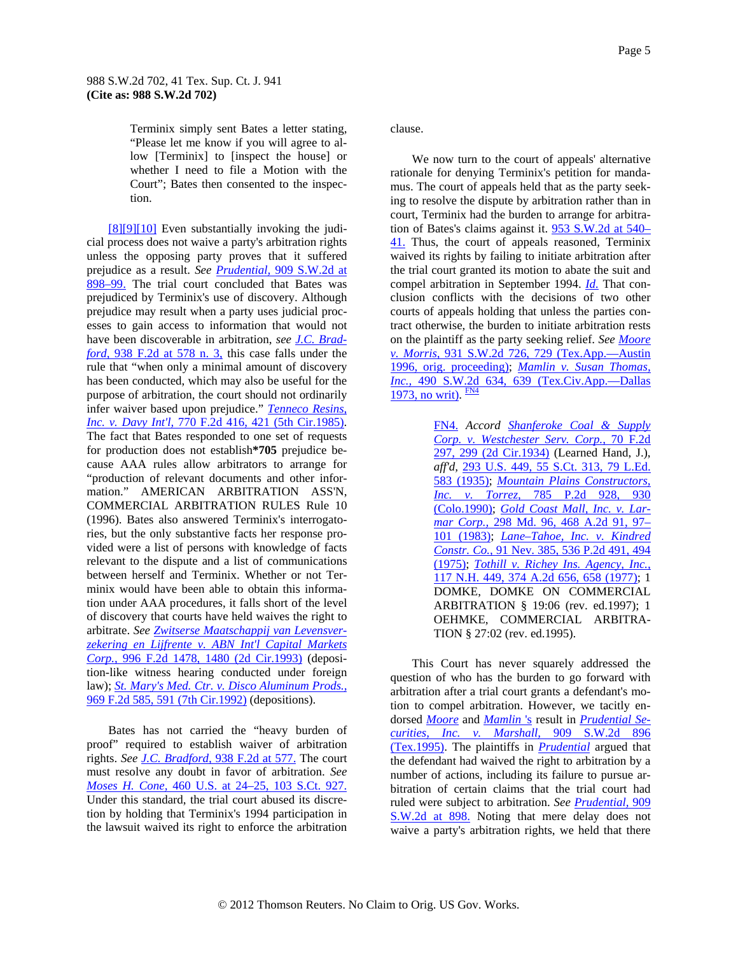<span id="page-4-0"></span>Terminix simply sent Bates a letter stating, "Please let me know if you will agree to allow [Terminix] to [inspect the house] or whether I need to file a Motion with the Court"; Bates then consented to the inspection.

[\[8\]\[9\]\[10\]](#page-1-0) Even substantially invoking the judicial process does not waive a party's arbitration rights unless the opposing party proves that it suffered prejudice as a result. *See [Prudential,](http://www.westlaw.com/Find/Default.wl?rs=dfa1.0&vr=2.0&DB=713&FindType=Y&ReferencePositionType=S&SerialNum=1995229426&ReferencePosition=898)* [909 S.W.2d at](http://www.westlaw.com/Find/Default.wl?rs=dfa1.0&vr=2.0&DB=713&FindType=Y&ReferencePositionType=S&SerialNum=1995229426&ReferencePosition=898)  [898–99.](http://www.westlaw.com/Find/Default.wl?rs=dfa1.0&vr=2.0&DB=713&FindType=Y&ReferencePositionType=S&SerialNum=1995229426&ReferencePosition=898) The trial court concluded that Bates was prejudiced by Terminix's use of discovery. Although prejudice may result when a party uses judicial processes to gain access to information that would not have been discoverable in arbitration, *see [J.C. Brad](http://www.westlaw.com/Find/Default.wl?rs=dfa1.0&vr=2.0&DB=350&FindType=Y&ReferencePositionType=S&SerialNum=1991132235&ReferencePosition=578)[ford,](http://www.westlaw.com/Find/Default.wl?rs=dfa1.0&vr=2.0&DB=350&FindType=Y&ReferencePositionType=S&SerialNum=1991132235&ReferencePosition=578)* [938 F.2d at 578 n. 3,](http://www.westlaw.com/Find/Default.wl?rs=dfa1.0&vr=2.0&DB=350&FindType=Y&ReferencePositionType=S&SerialNum=1991132235&ReferencePosition=578) this case falls under the rule that "when only a minimal amount of discovery has been conducted, which may also be useful for the purpose of arbitration, the court should not ordinarily infer waiver based upon prejudice." *[Tenneco Resins,](http://www.westlaw.com/Find/Default.wl?rs=dfa1.0&vr=2.0&DB=350&FindType=Y&ReferencePositionType=S&SerialNum=1985142299&ReferencePosition=421)  [Inc. v. Davy Int'l,](http://www.westlaw.com/Find/Default.wl?rs=dfa1.0&vr=2.0&DB=350&FindType=Y&ReferencePositionType=S&SerialNum=1985142299&ReferencePosition=421)* [770 F.2d 416, 421 \(5th Cir.1985\).](http://www.westlaw.com/Find/Default.wl?rs=dfa1.0&vr=2.0&DB=350&FindType=Y&ReferencePositionType=S&SerialNum=1985142299&ReferencePosition=421) The fact that Bates responded to one set of requests for production does not establish**\*705** prejudice because AAA rules allow arbitrators to arrange for "production of relevant documents and other information." AMERICAN ARBITRATION ASS'N, COMMERCIAL ARBITRATION RULES Rule 10 (1996). Bates also answered Terminix's interrogatories, but the only substantive facts her response provided were a list of persons with knowledge of facts relevant to the dispute and a list of communications between herself and Terminix. Whether or not Terminix would have been able to obtain this information under AAA procedures, it falls short of the level of discovery that courts have held waives the right to arbitrate. *See [Zwitserse Maatschappij van Levensver](http://www.westlaw.com/Find/Default.wl?rs=dfa1.0&vr=2.0&DB=350&FindType=Y&ReferencePositionType=S&SerialNum=1993134013&ReferencePosition=1480)[zekering en Lijfrente v. ABN Int'l Capital Markets](http://www.westlaw.com/Find/Default.wl?rs=dfa1.0&vr=2.0&DB=350&FindType=Y&ReferencePositionType=S&SerialNum=1993134013&ReferencePosition=1480)  [Corp.,](http://www.westlaw.com/Find/Default.wl?rs=dfa1.0&vr=2.0&DB=350&FindType=Y&ReferencePositionType=S&SerialNum=1993134013&ReferencePosition=1480)* [996 F.2d 1478, 1480 \(2d Cir.1993\)](http://www.westlaw.com/Find/Default.wl?rs=dfa1.0&vr=2.0&DB=350&FindType=Y&ReferencePositionType=S&SerialNum=1993134013&ReferencePosition=1480) (deposition-like witness hearing conducted under foreig[n](http://www.westlaw.com/Find/Default.wl?rs=dfa1.0&vr=2.0&DB=350&FindType=Y&ReferencePositionType=S&SerialNum=1992139116&ReferencePosition=591)  law); *[St. Mary's Med. Ctr. v. Disco Aluminum Prods.,](http://www.westlaw.com/Find/Default.wl?rs=dfa1.0&vr=2.0&DB=350&FindType=Y&ReferencePositionType=S&SerialNum=1992139116&ReferencePosition=591)* [969 F.2d 585, 591 \(7th Cir.1992\)](http://www.westlaw.com/Find/Default.wl?rs=dfa1.0&vr=2.0&DB=350&FindType=Y&ReferencePositionType=S&SerialNum=1992139116&ReferencePosition=591) (depositions).

Bates has not carried the "heavy burden of proof" required to establish waiver of arbitration rights. *See [J.C. Bradford,](http://www.westlaw.com/Find/Default.wl?rs=dfa1.0&vr=2.0&DB=350&FindType=Y&ReferencePositionType=S&SerialNum=1991132235&ReferencePosition=577)* [938 F.2d at 577.](http://www.westlaw.com/Find/Default.wl?rs=dfa1.0&vr=2.0&DB=350&FindType=Y&ReferencePositionType=S&SerialNum=1991132235&ReferencePosition=577) The court must resolve any doubt in favor of arbitration. *See [Moses H. Cone,](http://www.westlaw.com/Find/Default.wl?rs=dfa1.0&vr=2.0&DB=708&FindType=Y&SerialNum=1983109286)* [460 U.S. at 24–25, 103 S.Ct. 927.](http://www.westlaw.com/Find/Default.wl?rs=dfa1.0&vr=2.0&DB=708&FindType=Y&SerialNum=1983109286) Under this standard, the trial court abused its discretion by holding that Terminix's 1994 participation in the lawsuit waived its right to enforce the arbitration

clause.

We now turn to the court of appeals' alternative rationale for denying Terminix's petition for mandamus. The court of appeals held that as the party seeking to resolve the dispute by arbitration rather than in court, Terminix had the burden to arrange for arbitration of Bates's claims against it. [953 S.W.2d at 540–](http://www.westlaw.com/Find/Default.wl?rs=dfa1.0&vr=2.0&DB=713&FindType=Y&ReferencePositionType=S&SerialNum=1997208030&ReferencePosition=540) [41.](http://www.westlaw.com/Find/Default.wl?rs=dfa1.0&vr=2.0&DB=713&FindType=Y&ReferencePositionType=S&SerialNum=1997208030&ReferencePosition=540) Thus, the court of appeals reasoned, Terminix waived its rights by failing to initiate arbitration after the trial court granted its motion to abate the suit and compel arbitration in September 1994. *[Id.](http://www.westlaw.com/Find/Default.wl?rs=dfa1.0&vr=2.0&FindType=Y&SerialNum=1997208030)* That conclusion conflicts with the decisions of two other courts of appeals holding that unless the parties contract otherwise, the burden to initiate arbitration rests on the plaintiff as the party seeking relief. *See [Moore](http://www.westlaw.com/Find/Default.wl?rs=dfa1.0&vr=2.0&DB=713&FindType=Y&ReferencePositionType=S&SerialNum=1996227968&ReferencePosition=729)  [v. Morris,](http://www.westlaw.com/Find/Default.wl?rs=dfa1.0&vr=2.0&DB=713&FindType=Y&ReferencePositionType=S&SerialNum=1996227968&ReferencePosition=729)* [931 S.W.2d 726, 729 \(Tex.App.—Austin](http://www.westlaw.com/Find/Default.wl?rs=dfa1.0&vr=2.0&DB=713&FindType=Y&ReferencePositionType=S&SerialNum=1996227968&ReferencePosition=729)  [1996, orig. proceeding\)](http://www.westlaw.com/Find/Default.wl?rs=dfa1.0&vr=2.0&DB=713&FindType=Y&ReferencePositionType=S&SerialNum=1996227968&ReferencePosition=729); *[Mamlin v. Susan Thomas,](http://www.westlaw.com/Find/Default.wl?rs=dfa1.0&vr=2.0&DB=713&FindType=Y&ReferencePositionType=S&SerialNum=1973129338&ReferencePosition=639)  [Inc.,](http://www.westlaw.com/Find/Default.wl?rs=dfa1.0&vr=2.0&DB=713&FindType=Y&ReferencePositionType=S&SerialNum=1973129338&ReferencePosition=639)* [490 S.W.2d 634, 639 \(Tex.Civ.App.—Dallas](http://www.westlaw.com/Find/Default.wl?rs=dfa1.0&vr=2.0&DB=713&FindType=Y&ReferencePositionType=S&SerialNum=1973129338&ReferencePosition=639)  [1973, no writ\).](http://www.westlaw.com/Find/Default.wl?rs=dfa1.0&vr=2.0&DB=713&FindType=Y&ReferencePositionType=S&SerialNum=1973129338&ReferencePosition=639)  $\frac{FN4}{FN4}$  $\frac{FN4}{FN4}$  $\frac{FN4}{FN4}$ 

> [FN4.](#page-4-0) *Accord [Shanferoke Coal & Supply](http://www.westlaw.com/Find/Default.wl?rs=dfa1.0&vr=2.0&DB=350&FindType=Y&ReferencePositionType=S&SerialNum=1934130656&ReferencePosition=299)  [Corp. v. Westchester Serv. Corp.,](http://www.westlaw.com/Find/Default.wl?rs=dfa1.0&vr=2.0&DB=350&FindType=Y&ReferencePositionType=S&SerialNum=1934130656&ReferencePosition=299)* [70 F.2d](http://www.westlaw.com/Find/Default.wl?rs=dfa1.0&vr=2.0&DB=350&FindType=Y&ReferencePositionType=S&SerialNum=1934130656&ReferencePosition=299)  [297, 299 \(2d Cir.1934\)](http://www.westlaw.com/Find/Default.wl?rs=dfa1.0&vr=2.0&DB=350&FindType=Y&ReferencePositionType=S&SerialNum=1934130656&ReferencePosition=299) (Learned Hand, J.), *aff'd,* [293 U.S. 449, 55 S.Ct. 313, 79 L.Ed.](http://www.westlaw.com/Find/Default.wl?rs=dfa1.0&vr=2.0&DB=708&FindType=Y&SerialNum=1935124131)  [583 \(1935\);](http://www.westlaw.com/Find/Default.wl?rs=dfa1.0&vr=2.0&DB=708&FindType=Y&SerialNum=1935124131) *[Mountain Plains Constructors,](http://www.westlaw.com/Find/Default.wl?rs=dfa1.0&vr=2.0&DB=661&FindType=Y&ReferencePositionType=S&SerialNum=1990027450&ReferencePosition=930)  [Inc. v. Torrez,](http://www.westlaw.com/Find/Default.wl?rs=dfa1.0&vr=2.0&DB=661&FindType=Y&ReferencePositionType=S&SerialNum=1990027450&ReferencePosition=930)* [785 P.2d 928, 930](http://www.westlaw.com/Find/Default.wl?rs=dfa1.0&vr=2.0&DB=661&FindType=Y&ReferencePositionType=S&SerialNum=1990027450&ReferencePosition=930)  [\(Colo.1990\);](http://www.westlaw.com/Find/Default.wl?rs=dfa1.0&vr=2.0&DB=661&FindType=Y&ReferencePositionType=S&SerialNum=1990027450&ReferencePosition=930) *[Gold Coast Mall, Inc. v. Lar](http://www.westlaw.com/Find/Default.wl?rs=dfa1.0&vr=2.0&DB=162&FindType=Y&ReferencePositionType=S&SerialNum=1983156257&ReferencePosition=97)[mar Corp.,](http://www.westlaw.com/Find/Default.wl?rs=dfa1.0&vr=2.0&DB=162&FindType=Y&ReferencePositionType=S&SerialNum=1983156257&ReferencePosition=97)* [298 Md. 96, 468 A.2d 91, 97–](http://www.westlaw.com/Find/Default.wl?rs=dfa1.0&vr=2.0&DB=162&FindType=Y&ReferencePositionType=S&SerialNum=1983156257&ReferencePosition=97) [101 \(1983\)](http://www.westlaw.com/Find/Default.wl?rs=dfa1.0&vr=2.0&DB=162&FindType=Y&ReferencePositionType=S&SerialNum=1983156257&ReferencePosition=97); *[Lane–Tahoe, Inc. v. Kindred](http://www.westlaw.com/Find/Default.wl?rs=dfa1.0&vr=2.0&DB=661&FindType=Y&ReferencePositionType=S&SerialNum=1975126870&ReferencePosition=494)  [Constr. Co.,](http://www.westlaw.com/Find/Default.wl?rs=dfa1.0&vr=2.0&DB=661&FindType=Y&ReferencePositionType=S&SerialNum=1975126870&ReferencePosition=494)* [91 Nev. 385, 536 P.2d 491, 494](http://www.westlaw.com/Find/Default.wl?rs=dfa1.0&vr=2.0&DB=661&FindType=Y&ReferencePositionType=S&SerialNum=1975126870&ReferencePosition=494)  [\(1975\);](http://www.westlaw.com/Find/Default.wl?rs=dfa1.0&vr=2.0&DB=661&FindType=Y&ReferencePositionType=S&SerialNum=1975126870&ReferencePosition=494) *[Tothill v. Richey Ins. Agency, Inc.,](http://www.westlaw.com/Find/Default.wl?rs=dfa1.0&vr=2.0&DB=162&FindType=Y&ReferencePositionType=S&SerialNum=1977102710&ReferencePosition=658)* [117 N.H. 449, 374 A.2d 656, 658 \(1977\);](http://www.westlaw.com/Find/Default.wl?rs=dfa1.0&vr=2.0&DB=162&FindType=Y&ReferencePositionType=S&SerialNum=1977102710&ReferencePosition=658) 1 DOMKE, DOMKE ON COMMERCIAL ARBITRATION § 19:06 (rev. ed.1997); 1 OEHMKE, COMMERCIAL ARBITRA-TION § 27:02 (rev. ed.1995).

This Court has never squarely addressed the question of who has the burden to go forward with arbitration after a trial court grants a defendant's motion to compel arbitration. However, we tacitly endorsed *[Moore](http://www.westlaw.com/Find/Default.wl?rs=dfa1.0&vr=2.0&FindType=Y&SerialNum=1996227968)* and *[Mamlin](http://www.westlaw.com/Find/Default.wl?rs=dfa1.0&vr=2.0&FindType=Y&SerialNum=1973129338)* ['s](http://www.westlaw.com/Find/Default.wl?rs=dfa1.0&vr=2.0&FindType=Y&SerialNum=1973129338) result in *[Prudential Se](http://www.westlaw.com/Find/Default.wl?rs=dfa1.0&vr=2.0&DB=713&FindType=Y&SerialNum=1995229426)[curities, Inc. v. Marshall,](http://www.westlaw.com/Find/Default.wl?rs=dfa1.0&vr=2.0&DB=713&FindType=Y&SerialNum=1995229426)* [909 S.W.2d 896](http://www.westlaw.com/Find/Default.wl?rs=dfa1.0&vr=2.0&DB=713&FindType=Y&SerialNum=1995229426)  [\(Tex.1995\).](http://www.westlaw.com/Find/Default.wl?rs=dfa1.0&vr=2.0&DB=713&FindType=Y&SerialNum=1995229426) The plaintiffs in *[Prudential](http://www.westlaw.com/Find/Default.wl?rs=dfa1.0&vr=2.0&FindType=Y&SerialNum=1995229426)* argued that the defendant had waived the right to arbitration by a number of actions, including its failure to pursue arbitration of certain claims that the trial court had ruled were subject to arbitration. *See [Prudential,](http://www.westlaw.com/Find/Default.wl?rs=dfa1.0&vr=2.0&DB=713&FindType=Y&ReferencePositionType=S&SerialNum=1995229426&ReferencePosition=898)* [909](http://www.westlaw.com/Find/Default.wl?rs=dfa1.0&vr=2.0&DB=713&FindType=Y&ReferencePositionType=S&SerialNum=1995229426&ReferencePosition=898)  [S.W.2d at 898.](http://www.westlaw.com/Find/Default.wl?rs=dfa1.0&vr=2.0&DB=713&FindType=Y&ReferencePositionType=S&SerialNum=1995229426&ReferencePosition=898) Noting that mere delay does not waive a party's arbitration rights, we held that there